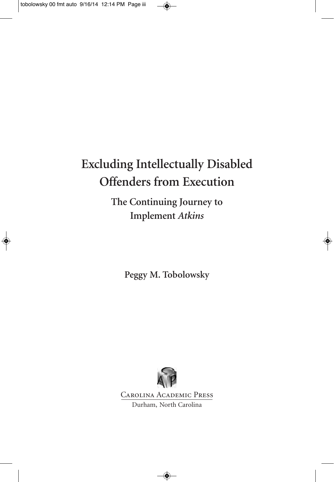## **Excluding Intellectually Disabled Offenders from Execution**

**The Continuing Journey to Implement** *Atkins*

**Peggy M. Tobolowsky**



Carolina Academic Press Durham, North Carolina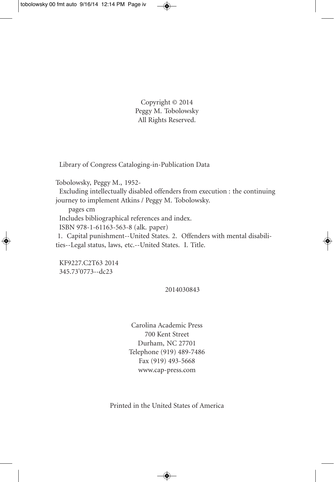Copyright © 2014 Peggy M. Tobolowsky All Rights Reserved.

Library of Congress Cataloging-in-Publication Data

Tobolowsky, Peggy M., 1952-

Excluding intellectually disabled offenders from execution : the continuing journey to implement Atkins / Peggy M. Tobolowsky.

pages cm Includes bibliographical references and index. ISBN 978-1-61163-563-8 (alk. paper) 1. Capital punishment--United States. 2. Offenders with mental disabilities--Legal status, laws, etc.--United States. I. Title.

KF9227.C2T63 2014 345.73'0773--dc23

2014030843

Carolina Academic Press 700 Kent Street Durham, NC 27701 Telephone (919) 489-7486 Fax (919) 493-5668 www.cap-press.com

Printed in the United States of America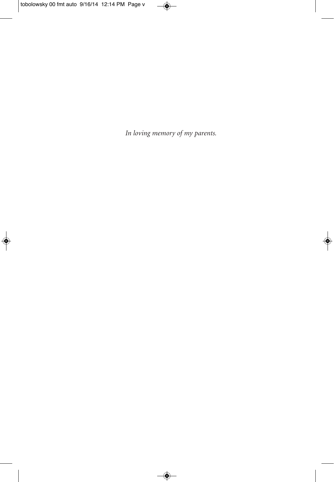*In loving memory of my parents.*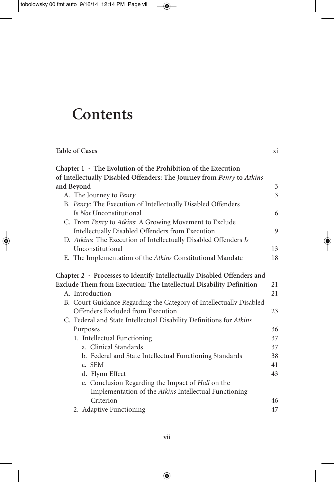## **Contents**

| <b>Table of Cases</b>                                                   | xi |
|-------------------------------------------------------------------------|----|
| Chapter $1 \cdot$ The Evolution of the Prohibition of the Execution     |    |
| of Intellectually Disabled Offenders: The Journey from Penry to Atkins  |    |
| and Beyond                                                              | 3  |
| A. The Journey to Penry                                                 | 3  |
| B. Penry: The Execution of Intellectually Disabled Offenders            |    |
| Is Not Unconstitutional                                                 | 6  |
| C. From Penry to Atkins: A Growing Movement to Exclude                  |    |
| Intellectually Disabled Offenders from Execution                        | 9  |
| D. Atkins: The Execution of Intellectually Disabled Offenders Is        |    |
| Unconstitutional                                                        | 13 |
| E. The Implementation of the Atkins Constitutional Mandate              | 18 |
| Chapter 2 · Processes to Identify Intellectually Disabled Offenders and |    |
| Exclude Them from Execution: The Intellectual Disability Definition     | 21 |
| A. Introduction                                                         | 21 |
| B. Court Guidance Regarding the Category of Intellectually Disabled     |    |
| Offenders Excluded from Execution                                       | 23 |
| C. Federal and State Intellectual Disability Definitions for Atkins     |    |
| Purposes                                                                | 36 |
| 1. Intellectual Functioning                                             | 37 |
| a. Clinical Standards                                                   | 37 |
| b. Federal and State Intellectual Functioning Standards                 | 38 |
| c. SEM                                                                  | 41 |
| d. Flynn Effect                                                         | 43 |
| e. Conclusion Regarding the Impact of Hall on the                       |    |
| Implementation of the Atkins Intellectual Functioning                   |    |
| Criterion                                                               | 46 |
| 2. Adaptive Functioning                                                 | 47 |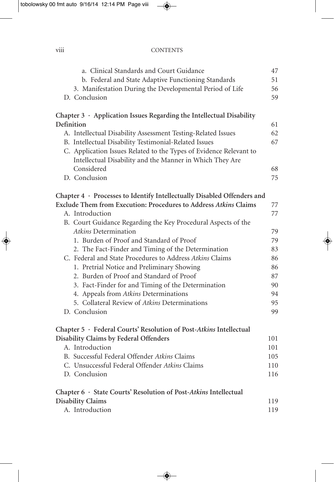| $\cdots$<br>V111 | <b>CONTENTS</b> |
|------------------|-----------------|
|                  |                 |

| a. Clinical Standards and Court Guidance                                     | 47  |
|------------------------------------------------------------------------------|-----|
| b. Federal and State Adaptive Functioning Standards                          | 51  |
| 3. Manifestation During the Developmental Period of Life                     | 56  |
| D. Conclusion                                                                | 59  |
|                                                                              |     |
| Chapter $3$ $\cdot$ Application Issues Regarding the Intellectual Disability |     |
| Definition                                                                   | 61  |
| A. Intellectual Disability Assessment Testing-Related Issues                 | 62  |
| B. Intellectual Disability Testimonial-Related Issues                        | 67  |
| C. Application Issues Related to the Types of Evidence Relevant to           |     |
| Intellectual Disability and the Manner in Which They Are                     |     |
| Considered                                                                   | 68  |
| D. Conclusion                                                                | 75  |
| Chapter 4 · Processes to Identify Intellectually Disabled Offenders and      |     |
| Exclude Them from Execution: Procedures to Address Atkins Claims             | 77  |
| A. Introduction                                                              | 77  |
| B. Court Guidance Regarding the Key Procedural Aspects of the                |     |
| Atkins Determination                                                         | 79  |
| 1. Burden of Proof and Standard of Proof                                     | 79  |
| 2. The Fact-Finder and Timing of the Determination                           | 83  |
| C. Federal and State Procedures to Address Atkins Claims                     | 86  |
| 1. Pretrial Notice and Preliminary Showing                                   | 86  |
| 2. Burden of Proof and Standard of Proof                                     | 87  |
| 3. Fact-Finder for and Timing of the Determination                           | 90  |
| 4. Appeals from Atkins Determinations                                        | 94  |
| 5. Collateral Review of Atkins Determinations                                | 95  |
| D. Conclusion                                                                | 99  |
|                                                                              |     |
| Chapter 5 · Federal Courts' Resolution of Post-Atkins Intellectual           |     |
| Disability Claims by Federal Offenders                                       | 101 |
| A. Introduction                                                              | 101 |
| B. Successful Federal Offender Atkins Claims                                 | 105 |
| C. Unsuccessful Federal Offender Atkins Claims                               | 110 |
| D. Conclusion                                                                | 116 |
| Chapter 6 · State Courts' Resolution of Post-Atkins Intellectual             |     |
| <b>Disability Claims</b>                                                     | 119 |
| A. Introduction                                                              | 119 |
|                                                                              |     |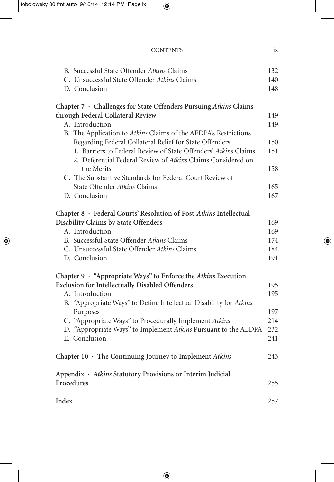| B. Successful State Offender Atkins Claims                         | 132 |
|--------------------------------------------------------------------|-----|
| C. Unsuccessful State Offender Atkins Claims                       | 140 |
| D. Conclusion                                                      | 148 |
| Chapter 7 · Challenges for State Offenders Pursuing Atkins Claims  |     |
| through Federal Collateral Review                                  | 149 |
| A. Introduction                                                    | 149 |
| B. The Application to Atkins Claims of the AEDPA's Restrictions    |     |
| Regarding Federal Collateral Relief for State Offenders            | 150 |
| 1. Barriers to Federal Review of State Offenders' Atkins Claims    | 151 |
| 2. Deferential Federal Review of Atkins Claims Considered on       |     |
| the Merits                                                         | 158 |
| C. The Substantive Standards for Federal Court Review of           |     |
| State Offender Atkins Claims                                       | 165 |
| D. Conclusion                                                      | 167 |
| Chapter 8 · Federal Courts' Resolution of Post-Atkins Intellectual |     |
| Disability Claims by State Offenders                               | 169 |
| A. Introduction                                                    | 169 |
| B. Successful State Offender Atkins Claims                         | 174 |
| C. Unsuccessful State Offender Atkins Claims                       | 184 |
| D. Conclusion                                                      | 191 |
| Chapter 9 · "Appropriate Ways" to Enforce the Atkins Execution     |     |
| <b>Exclusion for Intellectually Disabled Offenders</b>             | 195 |
| A. Introduction                                                    | 195 |
| B. "Appropriate Ways" to Define Intellectual Disability for Atkins |     |
| Purposes                                                           | 197 |
| C. "Appropriate Ways" to Procedurally Implement Atkins             | 214 |
| D. "Appropriate Ways" to Implement Atkins Pursuant to the AEDPA    | 232 |
| E. Conclusion                                                      | 241 |
| Chapter $10 \cdot$ The Continuing Journey to Implement Atkins      | 243 |
| Appendix · Atkins Statutory Provisions or Interim Judicial         |     |
| Procedures                                                         | 255 |
| Index                                                              | 257 |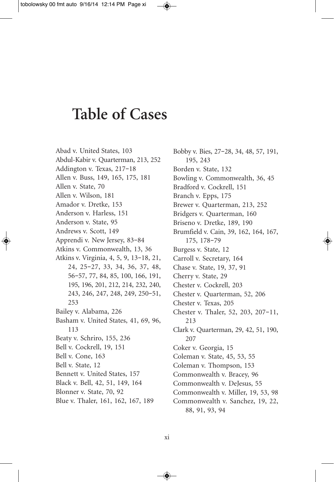## **Table of Cases**

Abad v. United States, 103 Abdul-Kabir v. Quarterman, 213, 252 Addington v. Texas, 217–18 Allen v. Buss, 149, 165, 175, 181 Allen v. State, 70 Allen v. Wilson, 181 Amador v. Dretke, 153 Anderson v. Harless, 151 Anderson v. State, 95 Andrews v. Scott, 149 Apprendi v. New Jersey, 83–84 Atkins v. Commonwealth, 13, 36 Atkins v. Virginia, 4, 5, 9, 13–18, 21, 24, 25–27, 33, 34, 36, 37, 48, 56–57, 77, 84, 85, 100, 166, 191, 195, 196, 201, 212, 214, 232, 240, 243, 246, 247, 248, 249, 250–51, 253 Bailey v. Alabama, 226 Basham v. United States, 41, 69, 96, 113 Beaty v. Schriro, 155, 236 Bell v. Cockrell, 19, 151 Bell v. Cone, 163 Bell v. State, 12 Bennett v. United States, 157 Black v. Bell, 42, 51, 149, 164 Blonner v. State, 70, 92 Blue v. Thaler, 161, 162, 167, 189

Bobby v. Bies, 27–28, 34, 48, 57, 191, 195, 243 Borden v. State, 132 Bowling v. Commonwealth, 36, 45 Bradford v. Cockrell, 151 Branch v. Epps, 175 Brewer v. Quarterman, 213, 252 Bridgers v. Quarterman, 160 Briseno v. Dretke, 189, 190 Brumfield v. Cain, 39, 162, 164, 167, 175, 178–79 Burgess v. State, 12 Carroll v. Secretary, 164 Chase v. State, 19, 37, 91 Cherry v. State, 29 Chester v. Cockrell, 203 Chester v. Quarterman, 52, 206 Chester v. Texas, 205 Chester v. Thaler, 52, 203, 207–11, 213 Clark v. Quarterman, 29, 42, 51, 190, 207 Coker v. Georgia, 15 Coleman v. State, 45, 53, 55 Coleman v. Thompson, 153 Commonwealth v. Bracey, 96 Commonwealth v. DeJesus, 55 Commonwealth v. Miller, 19, 53, 98 Commonwealth v. Sanchez, 19, 22, 88, 91, 93, 94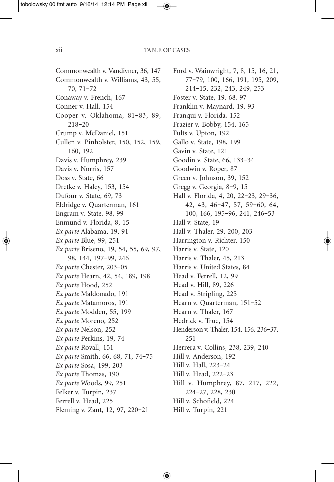Commonwealth v. Vandivner, 36, 147 Commonwealth v. Williams, 43, 55, 70, 71–72 Conaway v. French, 167 Conner v. Hall, 154 Cooper v. Oklahoma, 81–83, 89, 218–20 Crump v. McDaniel, 151 Cullen v. Pinholster, 150, 152, 159, 160, 192 Davis v. Humphrey, 239 Davis v. Norris, 157 Doss v. State, 66 Dretke v. Haley, 153, 154 Dufour v. State, 69, 73 Eldridge v. Quarterman, 161 Engram v. State, 98, 99 Enmund v. Florida, 8, 15 *Ex parte* Alabama, 19, 91 *Ex parte* Blue, 99, 251 *Ex parte* Briseno, 19, 54, 55, 69, 97, 98, 144, 197–99, 246 *Ex parte* Chester, 203–05 *Ex parte* Hearn, 42, 54, 189, 198 *Ex parte* Hood, 252 *Ex parte* Maldonado, 191 *Ex parte* Matamoros, 191 *Ex parte* Modden, 55, 199 *Ex parte* Moreno, 252 *Ex parte* Nelson, 252 *Ex parte* Perkins, 19, 74 *Ex parte* Royall, 151 *Ex parte* Smith, 66, 68, 71, 74–75 *Ex parte* Sosa, 199, 203 *Ex parte* Thomas, 190 *Ex parte* Woods, 99, 251 Felker v. Turpin, 237 Ferrell v. Head, 225 Fleming v. Zant, 12, 97, 220–21

Ford v. Wainwright, 7, 8, 15, 16, 21, 77–79, 100, 166, 191, 195, 209, 214–15, 232, 243, 249, 253 Foster v. State, 19, 68, 97 Franklin v. Maynard, 19, 93 Franqui v. Florida, 152 Frazier v. Bobby, 154, 165 Fults v. Upton, 192 Gallo v. State, 198, 199 Gavin v. State, 121 Goodin v. State, 66, 133–34 Goodwin v. Roper, 87 Green v. Johnson, 39, 152 Gregg v. Georgia, 8–9, 15 Hall v. Florida, 4, 20, 22–23, 29–36, 42, 43, 46–47, 57, 59–60, 64, 100, 166, 195–96, 241, 246–53 Hall v. State, 19 Hall v. Thaler, 29, 200, 203 Harrington v. Richter, 150 Harris v. State, 120 Harris v. Thaler, 45, 213 Harris v. United States, 84 Head v. Ferrell, 12, 99 Head v. Hill, 89, 226 Head v. Stripling, 225 Hearn v. Quarterman, 151–52 Hearn v. Thaler, 167 Hedrick v. True, 154 Henderson v. Thaler, 154, 156, 236–37, 251 Herrera v. Collins, 238, 239, 240 Hill v. Anderson, 192 Hill v. Hall, 223–24 Hill v. Head, 222–23 Hill v. Humphrey, 87, 217, 222, 224–27, 228, 230 Hill v. Schofield, 224 Hill v. Turpin, 221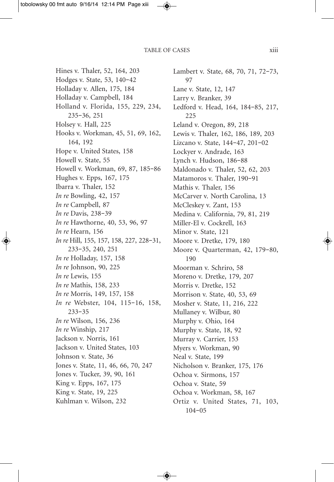Hines v. Thaler, 52, 164, 203 Hodges v. State, 53, 140–42 Holladay v. Allen, 175, 184 Holladay v. Campbell, 184 Holland v. Florida, 155, 229, 234, 235–36, 251 Holsey v. Hall, 225 Hooks v. Workman, 45, 51, 69, 162, 164, 192 Hope v. United States, 158 Howell v. State, 55 Howell v. Workman, 69, 87, 185–86 Hughes v. Epps, 167, 175 Ibarra v. Thaler, 152 *In re* Bowling, 42, 157 *In re* Campbell, 87 *In re* Davis, 238–39 *In re* Hawthorne, 40, 53, 96, 97 *In re* Hearn, 156 *In re* Hill, 155, 157, 158, 227, 228–31, 233–35, 240, 251 *In re* Holladay, 157, 158 *In re* Johnson, 90, 225 *In re* Lewis, 155 *In re* Mathis, 158, 233 *In re* Morris, 149, 157, 158 *In re* Webster, 104, 115–16, 158, 233–35 *In re* Wilson, 156, 236 *In re* Winship, 217 Jackson v. Norris, 161 Jackson v. United States, 103 Johnson v. State, 36 Jones v. State, 11, 46, 66, 70, 247 Jones v. Tucker, 39, 90, 161 King v. Epps, 167, 175 King v. State, 19, 225 Kuhlman v. Wilson, 232

Lambert v. State, 68, 70, 71, 72–73, 97 Lane v. State, 12, 147 Larry v. Branker, 39 Ledford v. Head, 164, 184–85, 217, 225 Leland v. Oregon, 89, 218 Lewis v. Thaler, 162, 186, 189, 203 Lizcano v. State, 144–47, 201–02 Lockyer v. Andrade, 163 Lynch v. Hudson, 186–88 Maldonado v. Thaler, 52, 62, 203 Matamoros v. Thaler, 190–91 Mathis v. Thaler, 156 McCarver v. North Carolina, 13 McCleskey v. Zant, 153 Medina v. California, 79, 81, 219 Miller-El v. Cockrell, 163 Minor v. State, 121 Moore v. Dretke, 179, 180 Moore v. Quarterman, 42, 179–80, 190 Moorman v. Schriro, 58 Moreno v. Dretke, 179, 207 Morris v. Dretke, 152 Morrison v. State, 40, 53, 69 Mosher v. State, 11, 216, 222 Mullaney v. Wilbur, 80 Murphy v. Ohio, 164 Murphy v. State, 18, 92 Murray v. Carrier, 153 Myers v. Workman, 90 Neal v. State, 199 Nicholson v. Branker, 175, 176 Ochoa v. Sirmons, 157 Ochoa v. State, 59 Ochoa v. Workman, 58, 167 Ortiz v. United States, 71, 103, 104–05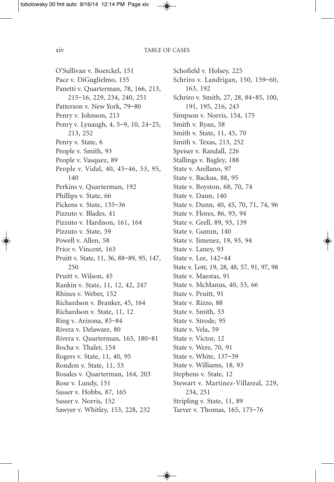O'Sullivan v. Boerckel, 151 Pace v. DiGuglielmo, 155 Panetti v. Quarterman, 78, 166, 213, 215–16, 229, 234, 240, 251 Patterson v. New York, 79–80 Penry v. Johnson, 213 Penry v. Lynaugh, 4, 5–9, 10, 24–25, 213, 252 Penry v. State, 6 People v. Smith, 93 People v. Vasquez, 89 People v. Vidal, 40, 45–46, 53, 95, 140 Perkins v. Quarterman, 192 Phillips v. State, 66 Pickens v. State, 135–36 Pizzuto v. Blades, 41 Pizzuto v. Hardison, 161, 164 Pizzuto v. State, 59 Powell v. Allen, 58 Price v. Vincent, 163 Pruitt v. State, 11, 36, 88–89, 95, 147, 250 Pruitt v. Wilson, 45 Rankin v. State, 11, 12, 42, 247 Rhines v. Weber, 152 Richardson v. Branker, 45, 164 Richardson v. State, 11, 12 Ring v. Arizona, 83–84 Rivera v. Delaware, 80 Rivera v. Quarterman, 165, 180–81 Rocha v. Thaler, 154 Rogers v. State, 11, 40, 95 Rondon v. State, 11, 53 Rosales v. Quarterman, 164, 203 Rose v. Lundy, 151 Sasser v. Hobbs, 87, 165 Sasser v. Norris, 152 Sawyer v. Whitley, 153, 228, 232

Schofield v. Holsey, 225 Schriro v. Landrigan, 150, 159–60, 163, 192 Schriro v. Smith, 27, 28, 84–85, 100, 191, 195, 216, 243 Simpson v. Norris, 154, 175 Smith v. Ryan, 58 Smith v. State, 11, 45, 70 Smith v. Texas, 213, 252 Speiser v. Randall, 226 Stallings v. Bagley, 188 State v. Arellano, 97 State v. Backus, 88, 95 State v. Boyston, 68, 70, 74 State v. Dann, 140 State v. Dunn, 40, 45, 70, 71, 74, 96 State v. Flores, 86, 93, 94 State v. Grell, 89, 93, 139 State v. Gumm, 140 State v. Jimenez, 19, 93, 94 State v. Laney, 93 State v. Lee, 142–44 State v. Lott, 19, 28, 48, 57, 91, 97, 98 State v. Maestas, 91 State v. McManus, 40, 53, 66 State v. Pruitt, 91 State v. Rizzo, 88 State v. Smith, 53 State v. Strode, 95 State v. Vela, 59 State v. Victor, 12 State v. Were, 70, 91 State v. White, 137–39 State v. Williams, 18, 93 Stephens v. State, 12 Stewart v. Martinez-Villareal, 229, 234, 251 Stripling v. State, 11, 89 Tarver v. Thomas, 165, 175–76